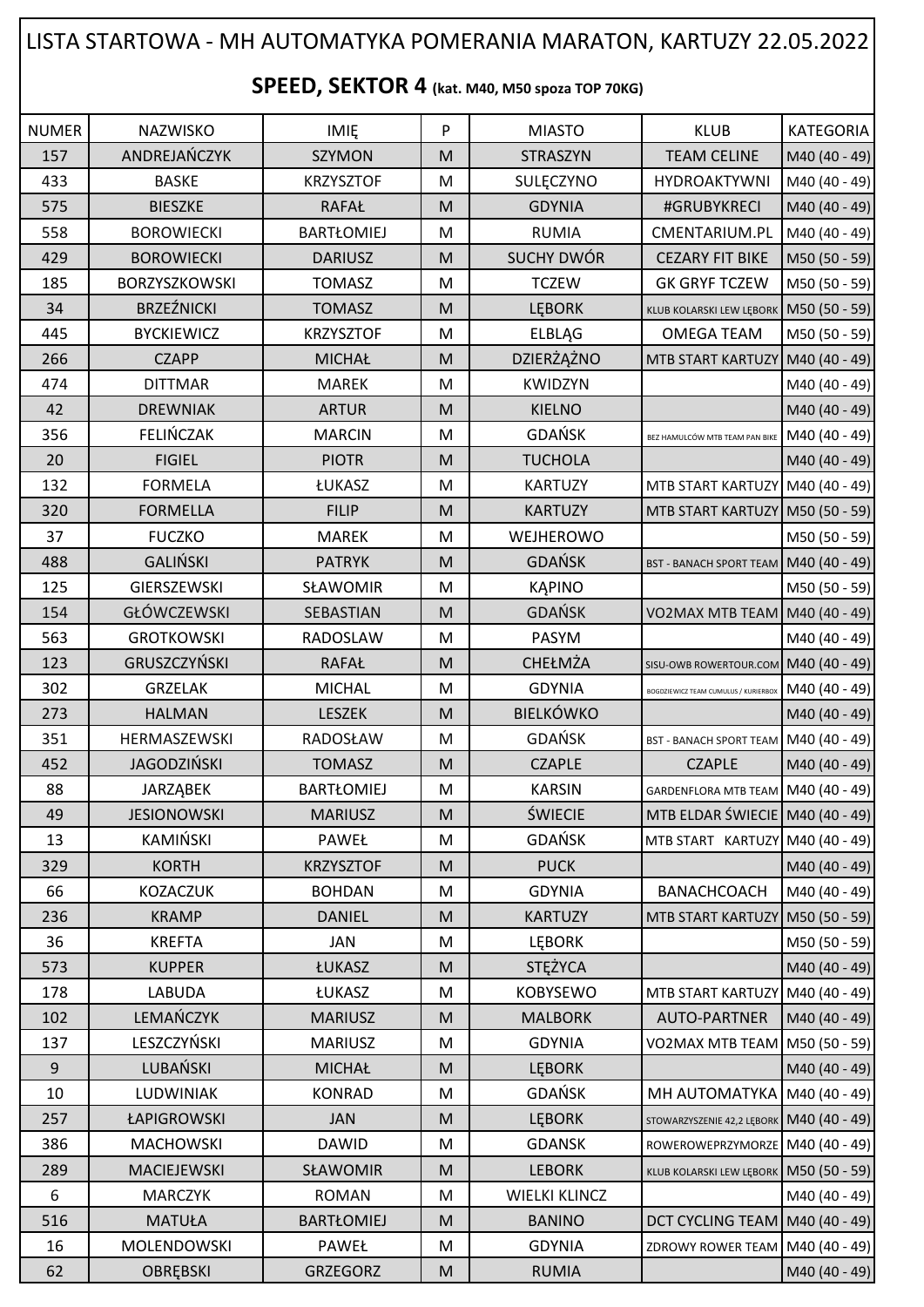## LISTA STARTOWA - MH AUTOMATYKA POMERANIA MARATON, KARTUZY 22.05.2022

## **SPEED, SEKTOR 4 (kat. M40, M50 spoza TOP 70KG)**

| <b>NUMER</b>     | NAZWISKO             | <b>IMIE</b>       | P | <b>MIASTO</b>        | <b>KLUB</b>                              | <b>KATEGORIA</b> |
|------------------|----------------------|-------------------|---|----------------------|------------------------------------------|------------------|
| 157              | ANDREJAŃCZYK         | <b>SZYMON</b>     | M | <b>STRASZYN</b>      | <b>TEAM CELINE</b>                       | M40 (40 - 49)    |
| 433              | <b>BASKE</b>         | <b>KRZYSZTOF</b>  | M | SULĘCZYNO            | HYDROAKTYWNI                             | $M40(40 - 49)$   |
| 575              | <b>BIESZKE</b>       | <b>RAFAŁ</b>      | M | <b>GDYNIA</b>        | #GRUBYKRECI                              | M40 (40 - 49)    |
| 558              | <b>BOROWIECKI</b>    | <b>BARTŁOMIEJ</b> | M | <b>RUMIA</b>         | CMENTARIUM.PL                            | M40 (40 - 49)    |
| 429              | <b>BOROWIECKI</b>    | <b>DARIUSZ</b>    | M | SUCHY DWÓR           | <b>CEZARY FIT BIKE</b>                   | M50 (50 - 59)    |
| 185              | <b>BORZYSZKOWSKI</b> | <b>TOMASZ</b>     | M | <b>TCZEW</b>         | <b>GK GRYF TCZEW</b>                     | M50 (50 - 59)    |
| 34               | <b>BRZEŹNICKI</b>    | <b>TOMASZ</b>     | M | <b>LEBORK</b>        | KLUB KOLARSKI LEW LEBORK                 | M50 (50 - 59)    |
| 445              | <b>BYCKIEWICZ</b>    | <b>KRZYSZTOF</b>  | M | <b>ELBLĄG</b>        | <b>OMEGA TEAM</b>                        | M50 (50 - 59)    |
| 266              | <b>CZAPP</b>         | <b>MICHAŁ</b>     | M | DZIERŻĄŻNO           | <b>MTB START KARTUZY</b>                 | M40 (40 - 49)    |
| 474              | <b>DITTMAR</b>       | <b>MAREK</b>      | M | <b>KWIDZYN</b>       |                                          | M40 (40 - 49)    |
| 42               | <b>DREWNIAK</b>      | <b>ARTUR</b>      | M | <b>KIELNO</b>        |                                          | M40 (40 - 49)    |
| 356              | <b>FELIŃCZAK</b>     | <b>MARCIN</b>     | M | <b>GDAŃSK</b>        | BEZ HAMULCÓW MTB TEAM PAN BIKE           | M40 (40 - 49)    |
| 20               | <b>FIGIEL</b>        | <b>PIOTR</b>      | M | <b>TUCHOLA</b>       |                                          | M40 (40 - 49)    |
| 132              | <b>FORMELA</b>       | ŁUKASZ            | M | <b>KARTUZY</b>       | MTB START KARTUZY                        | M40 (40 - 49)    |
| 320              | <b>FORMELLA</b>      | <b>FILIP</b>      | M | <b>KARTUZY</b>       | MTB START KARTUZY                        | M50 (50 - 59)    |
| 37               | <b>FUCZKO</b>        | <b>MAREK</b>      | M | WEJHEROWO            |                                          | M50 (50 - 59)    |
| 488              | <b>GALIŃSKI</b>      | <b>PATRYK</b>     | M | <b>GDAŃSK</b>        | <b>BST - BANACH SPORT TEAM</b>           | M40 (40 - 49)    |
| 125              | <b>GIERSZEWSKI</b>   | SŁAWOMIR          | M | <b>KAPINO</b>        |                                          | M50 (50 - 59)    |
| 154              | GŁÓWCZEWSKI          | SEBASTIAN         | M | <b>GDAŃSK</b>        | VO2MAX MTB TEAM   M40 (40 - 49)          |                  |
| 563              | <b>GROTKOWSKI</b>    | RADOSLAW          | M | PASYM                |                                          | M40 (40 - 49)    |
| 123              | GRUSZCZYŃSKI         | <b>RAFAŁ</b>      | M | <b>CHEŁMŻA</b>       | SISU-OWB ROWERTOUR.COM M40 (40 - 49)     |                  |
| 302              | <b>GRZELAK</b>       | <b>MICHAL</b>     | M | <b>GDYNIA</b>        | BOGDZIEWICZ TEAM CUMULUS / KURIERBOX     | M40 (40 - 49)    |
| 273              | <b>HALMAN</b>        | LESZEK            | M | <b>BIELKÓWKO</b>     |                                          | M40 (40 - 49)    |
| 351              | HERMASZEWSKI         | RADOSŁAW          | M | <b>GDAŃSK</b>        | <b>BST - BANACH SPORT TEAM</b>           | M40 (40 - 49)    |
| 452              | <b>JAGODZIŃSKI</b>   | <b>TOMASZ</b>     | M | <b>CZAPLE</b>        | <b>CZAPLE</b>                            | M40 (40 - 49)    |
| 88               | <b>JARZĄBEK</b>      | <b>BARTŁOMIEJ</b> | M | <b>KARSIN</b>        | GARDENFLORA MTB TEAM M40 (40 - 49)       |                  |
| 49               | <b>JESIONOWSKI</b>   | <b>MARIUSZ</b>    | M | <b>ŚWIECIE</b>       | MTB ELDAR ŚWIECIE M40 (40 - 49)          |                  |
| 13               | <b>KAMIŃSKI</b>      | PAWEŁ             | M | <b>GDAŃSK</b>        | MTB START KARTUZY M40 (40 - 49)          |                  |
| 329              | <b>KORTH</b>         | <b>KRZYSZTOF</b>  | M | <b>PUCK</b>          |                                          | M40 (40 - 49)    |
| 66               | <b>KOZACZUK</b>      | <b>BOHDAN</b>     | M | <b>GDYNIA</b>        | BANACHCOACH                              | M40 (40 - 49)    |
| 236              | <b>KRAMP</b>         | <b>DANIEL</b>     | M | <b>KARTUZY</b>       | <b>MTB START KARTUZY</b>                 | M50 (50 - 59)    |
| 36               | <b>KREFTA</b>        | <b>JAN</b>        | M | <b>LEBORK</b>        |                                          | M50 (50 - 59)    |
| 573              | <b>KUPPER</b>        | ŁUKASZ            | M | <b>STEŻYCA</b>       |                                          | $M40(40 - 49)$   |
| 178              | <b>LABUDA</b>        | ŁUKASZ            | M | <b>KOBYSEWO</b>      | MTB START KARTUZY                        | $M40(40-49)$     |
| 102              | LEMAŃCZYK            | <b>MARIUSZ</b>    | M | <b>MALBORK</b>       | AUTO-PARTNER                             | M40 (40 - 49)    |
| 137              | LESZCZYŃSKI          | <b>MARIUSZ</b>    | M | <b>GDYNIA</b>        | VO2MAX MTB TEAM   M50 (50 - 59)          |                  |
| $\boldsymbol{9}$ | LUBAŃSKI             | <b>MICHAŁ</b>     | M | <b>LEBORK</b>        |                                          | M40 (40 - 49)    |
| 10               | LUDWINIAK            | <b>KONRAD</b>     | M | GDAŃSK               | MH AUTOMATYKA M40 (40 - 49)              |                  |
| 257              | ŁAPIGROWSKI          | <b>JAN</b>        | M | <b>LEBORK</b>        | STOWARZYSZENIE 42,2 LĘBORK M40 (40 - 49) |                  |
| 386              | <b>MACHOWSKI</b>     | <b>DAWID</b>      | M | <b>GDANSK</b>        | ROWEROWEPRZYMORZE M40 (40 - 49)          |                  |
| 289              | MACIEJEWSKI          | SŁAWOMIR          | M | <b>LEBORK</b>        | KLUB KOLARSKI LEW LĘBORK                 | M50 (50 - 59)    |
| 6                | <b>MARCZYK</b>       | <b>ROMAN</b>      | M | <b>WIELKI KLINCZ</b> |                                          | M40 (40 - 49)    |
| 516              | <b>MATUŁA</b>        | <b>BARTŁOMIEJ</b> | M | <b>BANINO</b>        | DCT CYCLING TEAM   M40 (40 - 49)         |                  |
| 16               | MOLENDOWSKI          | PAWEŁ             | M | <b>GDYNIA</b>        | ZDROWY ROWER TEAM   M40 (40 - 49)        |                  |
| 62               | OBRĘBSKI             | GRZEGORZ          | M | <b>RUMIA</b>         |                                          | $M40(40 - 49)$   |